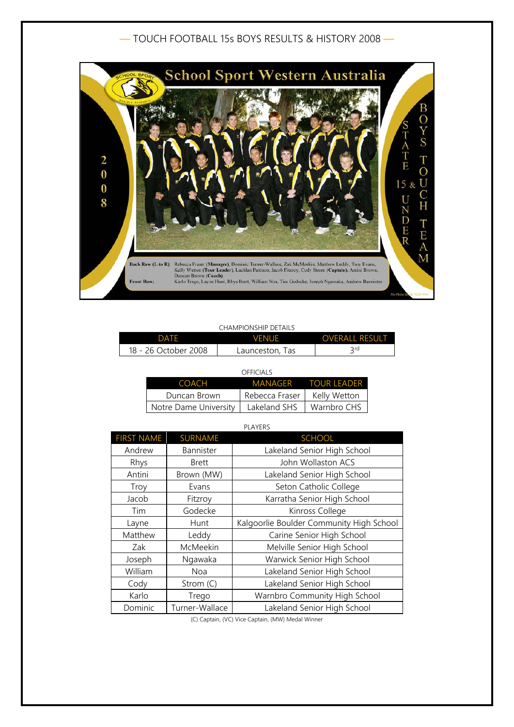## — TOUCH FOOTBALL 15s BOYS RESULTS & HISTORY 2008 —



## CHAMPIONSHIP DETAILS

| DATF                 | <b>VENUE</b>    | <b>OVERALL RESULT</b> |
|----------------------|-----------------|-----------------------|
| 18 - 26 October 2008 | Launceston, Tas | 2 rd                  |

|                       | OFFICIALS      |                     |
|-----------------------|----------------|---------------------|
| COACH                 |                | MANAGER TOUR LEADER |
| Duncan Brown          | Rebecca Fraser | Kelly Wetton        |
| Notre Dame University | Lakeland SHS   | Warnbro CHS         |

| <b>PLAYERS</b>    |                |                                          |
|-------------------|----------------|------------------------------------------|
| <b>FIRST NAME</b> | <b>SURNAME</b> | <b>SCHOOL</b>                            |
| Andrew            | Bannister      | Lakeland Senior High School              |
| Rhys              | <b>Brett</b>   | John Wollaston ACS                       |
| Antini            | Brown (MW)     | Lakeland Senior High School              |
| Troy              | Evans          | Seton Catholic College                   |
| Jacob             | Fitzroy        | Karratha Senior High School              |
| Tim               | Godecke        | Kinross College                          |
| Layne             | Hunt           | Kalgoorlie Boulder Community High School |
| Matthew           | Leddy          | Carine Senior High School                |
| Zak               | McMeekin       | Melville Senior High School              |
| Joseph            | Ngawaka        | Warwick Senior High School               |
| William           | Noa            | Lakeland Senior High School              |
| Cody              | Strom (C)      | Lakeland Senior High School              |
| Karlo             | Trego          | Warnbro Community High School            |
| Dominic           | Turner-Wallace | Lakeland Senior High School              |

(C) Captain, (VC) Vice Captain, (MW) Medal Winner